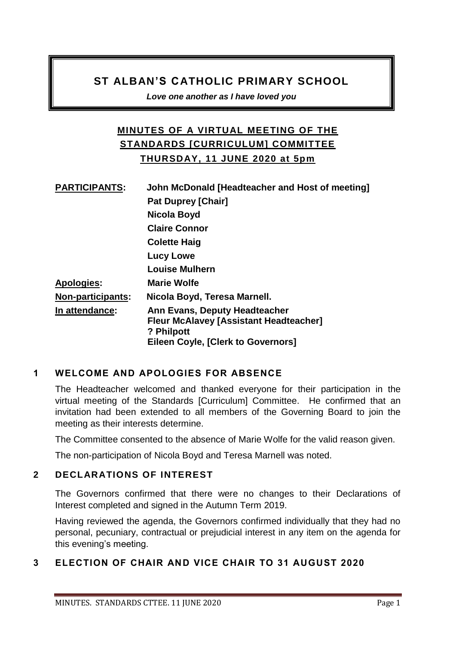# **ST ALBAN'S CATHOLIC PRIMARY SCHOOL**

*Love one another as I have loved you* 

# **MINUTES OF A VIRTUAL MEETING OF THE STANDARDS [CURRICULUM] COMMITTEE THURSDAY, 11 JUNE 2020 at 5pm**

| <b>PARTICIPANTS:</b>     | John McDonald [Headteacher and Host of meeting]                                                                                           |
|--------------------------|-------------------------------------------------------------------------------------------------------------------------------------------|
|                          | <b>Pat Duprey [Chair]</b>                                                                                                                 |
|                          | Nicola Boyd                                                                                                                               |
|                          | <b>Claire Connor</b>                                                                                                                      |
|                          | <b>Colette Haig</b>                                                                                                                       |
|                          | Lucy Lowe                                                                                                                                 |
|                          | <b>Louise Mulhern</b>                                                                                                                     |
| <b>Apologies:</b>        | <b>Marie Wolfe</b>                                                                                                                        |
| <b>Non-participants:</b> | Nicola Boyd, Teresa Marnell.                                                                                                              |
| In attendance:           | Ann Evans, Deputy Headteacher<br><b>Fleur McAlavey [Assistant Headteacher]</b><br>? Philpott<br><b>Eileen Coyle, [Clerk to Governors]</b> |

# **1 WELCOME AND APOLOGIES FOR ABSENCE**

The Headteacher welcomed and thanked everyone for their participation in the virtual meeting of the Standards [Curriculum] Committee. He confirmed that an invitation had been extended to all members of the Governing Board to join the meeting as their interests determine.

The Committee consented to the absence of Marie Wolfe for the valid reason given.

The non-participation of Nicola Boyd and Teresa Marnell was noted.

### **2 DECLARATIONS OF INTEREST**

The Governors confirmed that there were no changes to their Declarations of Interest completed and signed in the Autumn Term 2019.

Having reviewed the agenda, the Governors confirmed individually that they had no personal, pecuniary, contractual or prejudicial interest in any item on the agenda for this evening's meeting.

# **3 ELECTION OF CHAIR AND VICE CHAIR TO 31 AUGUST 2020**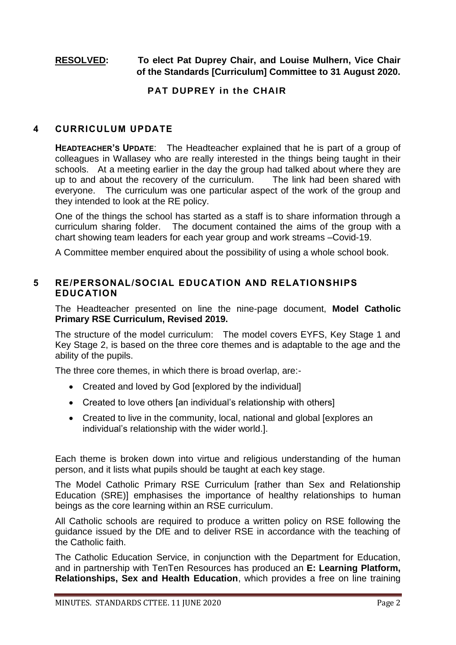## **RESOLVED: To elect Pat Duprey Chair, and Louise Mulhern, Vice Chair of the Standards [Curriculum] Committee to 31 August 2020.**

### **PAT DUPREY in the CHAIR**

#### **4 CURRICULUM UPDATE**

**HEADTEACHER'S UPDATE**: The Headteacher explained that he is part of a group of colleagues in Wallasey who are really interested in the things being taught in their schools. At a meeting earlier in the day the group had talked about where they are up to and about the recovery of the curriculum. The link had been shared with everyone. The curriculum was one particular aspect of the work of the group and they intended to look at the RE policy.

One of the things the school has started as a staff is to share information through a curriculum sharing folder. The document contained the aims of the group with a chart showing team leaders for each year group and work streams –Covid-19.

A Committee member enquired about the possibility of using a whole school book.

### **5 RE/PERSONAL/SOCIAL EDUCATION AND RELATIONSHIPS EDUCATION**

The Headteacher presented on line the nine-page document, **Model Catholic Primary RSE Curriculum, Revised 2019.** 

The structure of the model curriculum: The model covers EYFS, Key Stage 1 and Key Stage 2, is based on the three core themes and is adaptable to the age and the ability of the pupils.

The three core themes, in which there is broad overlap, are:-

- Created and loved by God [explored by the individual]
- Created to love others [an individual's relationship with others]
- Created to live in the community, local, national and global [explores an individual's relationship with the wider world.].

Each theme is broken down into virtue and religious understanding of the human person, and it lists what pupils should be taught at each key stage.

The Model Catholic Primary RSE Curriculum [rather than Sex and Relationship Education (SRE)] emphasises the importance of healthy relationships to human beings as the core learning within an RSE curriculum.

All Catholic schools are required to produce a written policy on RSE following the guidance issued by the DfE and to deliver RSE in accordance with the teaching of the Catholic faith.

The Catholic Education Service, in conjunction with the Department for Education, and in partnership with TenTen Resources has produced an **E: Learning Platform, Relationships, Sex and Health Education**, which provides a free on line training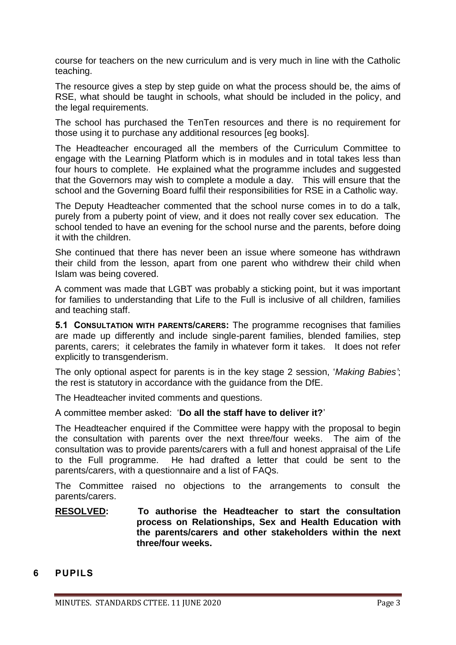course for teachers on the new curriculum and is very much in line with the Catholic teaching.

The resource gives a step by step guide on what the process should be, the aims of RSE, what should be taught in schools, what should be included in the policy, and the legal requirements.

The school has purchased the TenTen resources and there is no requirement for those using it to purchase any additional resources [eg books].

The Headteacher encouraged all the members of the Curriculum Committee to engage with the Learning Platform which is in modules and in total takes less than four hours to complete. He explained what the programme includes and suggested that the Governors may wish to complete a module a day. This will ensure that the school and the Governing Board fulfil their responsibilities for RSE in a Catholic way.

The Deputy Headteacher commented that the school nurse comes in to do a talk, purely from a puberty point of view, and it does not really cover sex education. The school tended to have an evening for the school nurse and the parents, before doing it with the children.

She continued that there has never been an issue where someone has withdrawn their child from the lesson, apart from one parent who withdrew their child when Islam was being covered.

A comment was made that LGBT was probably a sticking point, but it was important for families to understanding that Life to the Full is inclusive of all children, families and teaching staff.

**5.1 CONSULTATION WITH PARENTS/CARERS:** The programme recognises that families are made up differently and include single-parent families, blended families, step parents, carers; it celebrates the family in whatever form it takes. It does not refer explicitly to transgenderism.

The only optional aspect for parents is in the key stage 2 session, '*Making Babies'*; the rest is statutory in accordance with the guidance from the DfE.

The Headteacher invited comments and questions.

A committee member asked: '**Do all the staff have to deliver it?**'

The Headteacher enquired if the Committee were happy with the proposal to begin the consultation with parents over the next three/four weeks. The aim of the consultation was to provide parents/carers with a full and honest appraisal of the Life to the Full programme. He had drafted a letter that could be sent to the parents/carers, with a questionnaire and a list of FAQs.

The Committee raised no objections to the arrangements to consult the parents/carers.

#### **RESOLVED: To authorise the Headteacher to start the consultation process on Relationships, Sex and Health Education with the parents/carers and other stakeholders within the next three/four weeks.**

### **6 PUPILS**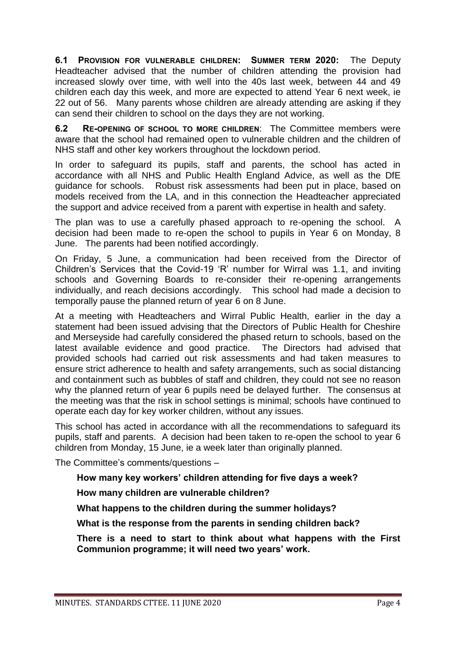**6.1 PROVISION FOR VULNERABLE CHILDREN: SUMMER TERM 2020:** The Deputy Headteacher advised that the number of children attending the provision had increased slowly over time, with well into the 40s last week, between 44 and 49 children each day this week, and more are expected to attend Year 6 next week, ie 22 out of 56. Many parents whose children are already attending are asking if they can send their children to school on the days they are not working.

**6.2 RE-OPENING OF SCHOOL TO MORE CHILDREN**: The Committee members were aware that the school had remained open to vulnerable children and the children of NHS staff and other key workers throughout the lockdown period.

In order to safeguard its pupils, staff and parents, the school has acted in accordance with all NHS and Public Health England Advice, as well as the DfE guidance for schools. Robust risk assessments had been put in place, based on models received from the LA, and in this connection the Headteacher appreciated the support and advice received from a parent with expertise in health and safety.

The plan was to use a carefully phased approach to re-opening the school. A decision had been made to re-open the school to pupils in Year 6 on Monday, 8 June. The parents had been notified accordingly.

On Friday, 5 June, a communication had been received from the Director of Children's Services that the Covid-19 'R' number for Wirral was 1.1, and inviting schools and Governing Boards to re-consider their re-opening arrangements individually, and reach decisions accordingly. This school had made a decision to temporally pause the planned return of year 6 on 8 June.

At a meeting with Headteachers and Wirral Public Health, earlier in the day a statement had been issued advising that the Directors of Public Health for Cheshire and Merseyside had carefully considered the phased return to schools, based on the latest available evidence and good practice. The Directors had advised that provided schools had carried out risk assessments and had taken measures to ensure strict adherence to health and safety arrangements, such as social distancing and containment such as bubbles of staff and children, they could not see no reason why the planned return of year 6 pupils need be delayed further. The consensus at the meeting was that the risk in school settings is minimal; schools have continued to operate each day for key worker children, without any issues.

This school has acted in accordance with all the recommendations to safeguard its pupils, staff and parents. A decision had been taken to re-open the school to year 6 children from Monday, 15 June, ie a week later than originally planned.

The Committee's comments/questions –

### **How many key workers' children attending for five days a week?**

**How many children are vulnerable children?**

**What happens to the children during the summer holidays?**

**What is the response from the parents in sending children back?** 

**There is a need to start to think about what happens with the First Communion programme; it will need two years' work.**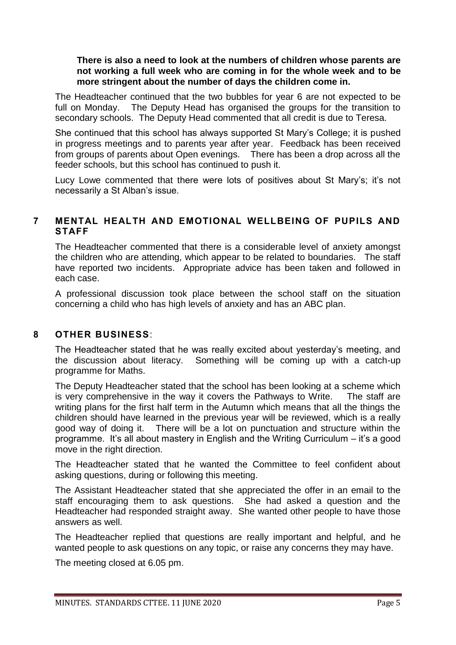**There is also a need to look at the numbers of children whose parents are not working a full week who are coming in for the whole week and to be more stringent about the number of days the children come in.**

The Headteacher continued that the two bubbles for year 6 are not expected to be full on Monday. The Deputy Head has organised the groups for the transition to secondary schools. The Deputy Head commented that all credit is due to Teresa.

She continued that this school has always supported St Mary's College; it is pushed in progress meetings and to parents year after year. Feedback has been received from groups of parents about Open evenings. There has been a drop across all the feeder schools, but this school has continued to push it.

Lucy Lowe commented that there were lots of positives about St Mary's; it's not necessarily a St Alban's issue.

#### **7 MENTAL HEALTH AND EMOTIONAL WELLBEING OF PUPILS AND STAFF**

The Headteacher commented that there is a considerable level of anxiety amongst the children who are attending, which appear to be related to boundaries. The staff have reported two incidents. Appropriate advice has been taken and followed in each case.

A professional discussion took place between the school staff on the situation concerning a child who has high levels of anxiety and has an ABC plan.

#### **8 OTHER BUSINESS**:

The Headteacher stated that he was really excited about yesterday's meeting, and the discussion about literacy. Something will be coming up with a catch-up programme for Maths.

The Deputy Headteacher stated that the school has been looking at a scheme which is very comprehensive in the way it covers the Pathways to Write. The staff are writing plans for the first half term in the Autumn which means that all the things the children should have learned in the previous year will be reviewed, which is a really good way of doing it. There will be a lot on punctuation and structure within the programme. It's all about mastery in English and the Writing Curriculum – it's a good move in the right direction.

The Headteacher stated that he wanted the Committee to feel confident about asking questions, during or following this meeting.

The Assistant Headteacher stated that she appreciated the offer in an email to the staff encouraging them to ask questions. She had asked a question and the Headteacher had responded straight away. She wanted other people to have those answers as well.

The Headteacher replied that questions are really important and helpful, and he wanted people to ask questions on any topic, or raise any concerns they may have.

The meeting closed at 6.05 pm.